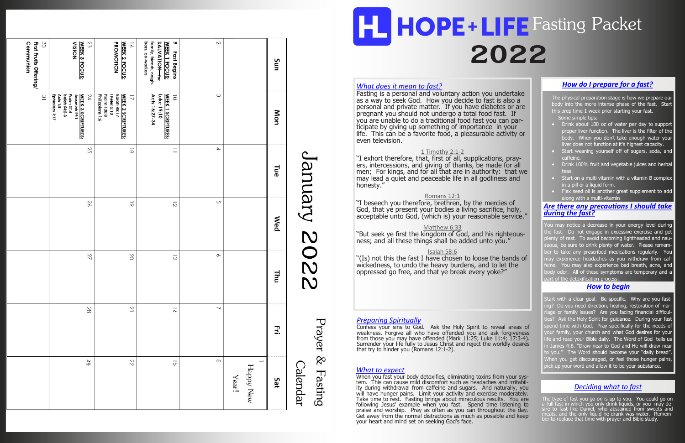#### *What does it mean to fast?*

"I exhort therefore, that, first of all, supplications, prayers, intercessions, and giving of thanks, be made for all men; For kings, and for all that are in authority: that we may lead a quiet and peaceable life in all godliness and honesty."

Fasting is a personal and voluntary action you undertake as a way to seek God. How you decide to fast is also a personal and private matter. If you have diabetes or are pregnant you should not undergo a total food fast. If you are unable to do a traditional food fast you can participate by giving up something of importance in your life. This can be a favorite food, a pleasurable activity or even television.

#### 1 Timothy 2:1-2

The physical preparation stage is how we prepare our body into the more intense phase of the fast. Start this prep time 1 week prior starting your fast. Some simple tips:

#### Romans 12:1

"I beseech you therefore, brethren, by the mercies of God, that ye present your bodies a living sacrifice, holy, acceptable unto God, (which is) your reasonable service."

#### Matthew 6:33

- **Drink about 100 oz of water per day to support** proper liver function. The liver is the filter of the body. When you don't take enough water your liver does not function at it's highest capacity.
- Start weaning yourself off of sugars, soda, and caffeine.
- Drink 100% fruit and vegetable juices and herbal teas.
- Start on a multi vitamin with a vitamin B complex in a pill or a liquid form.
- Flax seed oil is another great supplement to add along with a multi-vitamin

"But seek ye first the kingdom of God, and his righteousness; and all these things shall be added unto you."

#### Isaiah 58:6

"(Is) not this the fast I have chosen to loose the bands of wickedness, to undo the heavy burdens, and to let the oppressed go free, and that ye break every yoke?"

You may notice a decrease in your energy level during he fast. Do not engage in excessive exercise and get enty of rest. To avoid becoming lightheaded and naueous, be sure to drink plenty of water. Please rememer to take any prescribed medications regularly. You nay experience headaches as you withdraw from cafeine. You may also experience bad breath, acne, and ody odor. All of these symptoms are temporary and a part of the detoxification process.

#### *How do I prepare for a fast?*

When you fast your body detoxifies, eliminating toxins from your system. This can cause mild discomfort such as headaches and irritability during withdrawal from caffeine and sugars. And naturally, you will have hunger pains. Limit your activity and exercise moderately. Take time to rest. Fasting brings about miraculous results. You are following Jesus' example when you fast. Spend time listening to praise and worship. Pray as often as you can throughout the day. Get away from the normal distractions as much as possible and keep your heart and mind set on seeking God's face.

| 2202 Andrue              | Sun        |                    | $\sim$                   | SALVATION-for<br>WEEK 1 FOCUS:<br>é<br>bors, co-workers<br>family, friends, neigh-<br>Fast Begins | <b>PROMOTION</b><br><b>WEEK 2 FOCUS:</b><br>$\overline{9}$                                                  | 23<br><b>NOISIA</b><br><b>WEEK 3 FOCUS:</b>                                                                     | 30<br>First Fruits Offering/<br>Communion |
|--------------------------|------------|--------------------|--------------------------|---------------------------------------------------------------------------------------------------|-------------------------------------------------------------------------------------------------------------|-----------------------------------------------------------------------------------------------------------------|-------------------------------------------|
|                          | Mon        |                    | $\omega$                 | <b>WEEK 1 SCRIPTURES:</b><br>Luke 19:10<br>$\overline{\circ}$<br>Acts 16:27-34                    | Philippians 1:6<br>Psalm 138:8<br>Peter 5:10<br>Isaiah 48:17<br><b>WEEK 2 SCRIPTURES:</b><br>$\overline{a}$ | Psalm 37:4<br>24<br>Ephesians 1:17<br>Isaiah 54:2-3<br><b>WEEK 3 SCRIPTURES:</b><br>Acts $1:8$<br>Jeremiah 29:1 | $\overline{\mathbf{3}}$                   |
|                          | <b>Tue</b> |                    | $\overline{\phantom{a}}$ | $\equiv$                                                                                          | $\overline{8}$                                                                                              | 25                                                                                                              |                                           |
|                          | <b>Wed</b> |                    | $\subset$                | $\overline{c}$                                                                                    | $\overline{6}$                                                                                              | 26                                                                                                              |                                           |
|                          | 빌          |                    | $\circ$                  | $\overline{\omega}$                                                                               | 20                                                                                                          | 27                                                                                                              |                                           |
|                          | Ξ.         |                    | ↘                        | $\overline{v}$                                                                                    | $\overline{c}$                                                                                              | 28                                                                                                              |                                           |
| Calendar<br>$\sim$<br>ڹؙ | Sat        | Happy New<br>Year! | $\infty$                 | $\overline{G}$                                                                                    | 22                                                                                                          | 29                                                                                                              |                                           |
|                          |            |                    |                          |                                                                                                   |                                                                                                             |                                                                                                                 |                                           |

# **2022 HOPE+LIFE** Fasting Packet

#### *Preparing Spiritually*

Confess your sins to God. Ask the Holy Spirit to reveal areas of weakness. Forgive all who have offended you and ask forgiveness from those you may have offended (Mark 11:25; Luke 11:4; 17:3-4). Surrender your life fully to Jesus Christ and reject the worldly desires that try to hinder you (Romans 12:1-2).

Prayer

 $8^{\circ}$ 

Fasting

The type of fast you go on is up to you. You could go on a full fast in which you only drink liquids, or you may desire to fast like Daniel, who abstained from sweets and meats, and the only liquid he drank was water. Remember to replace that time with prayer and Bible study.

#### *Are there any precautions I should take during the fast?*

#### *How to begin*

Start with a clear goal. Be specific. Why are you fastng? Do you need direction, healing, restoration of mariage or family issues? Are you facing financial difficul-Ask the Holy Spirit for guidance. During your fast spend time with God. Pray specifically for the needs of our family, your church and what God desires for your ie and read your Bible daily. The Word of God tells us I James 4:8. "Draw near to God and He will draw near to you." The Word should become your "daily bread". When you get discouraged, or feel those hunger pains, *What to expect pick up your word and allow it to be your substance.* **<b>What to expect** 

#### *Deciding what to fast*